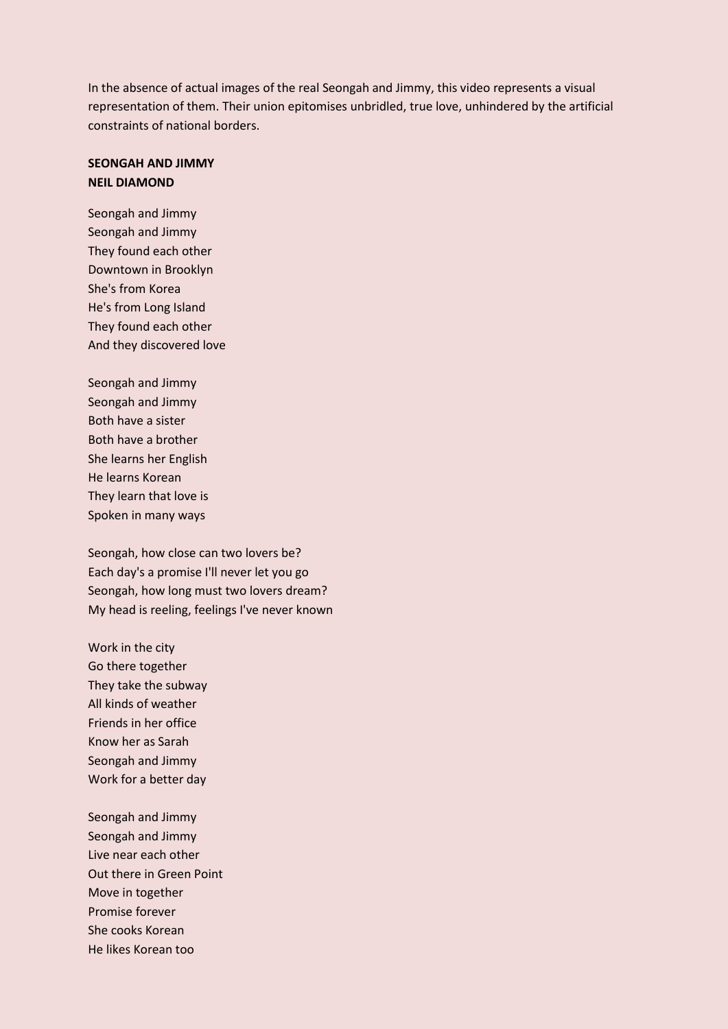In the absence of actual images of the real Seongah and Jimmy, this video represents a visual representation of them. Their union epitomises unbridled, true love, unhindered by the artificial constraints of national borders.

## **SEONGAH AND JIMMY NEIL DIAMOND**

Seongah and Jimmy Seongah and Jimmy They found each other Downtown in Brooklyn She's from Korea He's from Long Island They found each other And they discovered love

Seongah and Jimmy Seongah and Jimmy Both have a sister Both have a brother She learns her English He learns Korean They learn that love is Spoken in many ways

Seongah, how close can two lovers be? Each day's a promise I'll never let you go Seongah, how long must two lovers dream? My head is reeling, feelings I've never known

Work in the city Go there together They take the subway All kinds of weather Friends in her office Know her as Sarah Seongah and Jimmy Work for a better day

Seongah and Jimmy Seongah and Jimmy Live near each other Out there in Green Point Move in together Promise forever She cooks Korean He likes Korean too